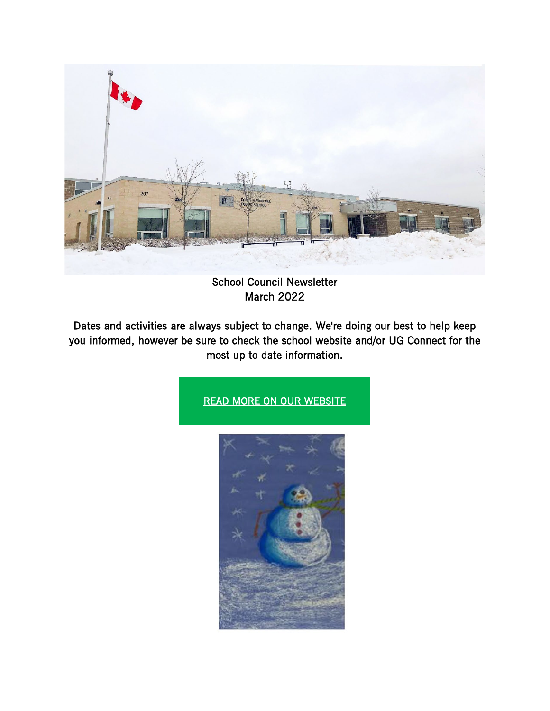

School Council Newsletter March 2022

Dates and activities are always subject to change. We're doing our best to help keep you informed, however be sure to check the school website and/or UG Connect for the most up to date information.

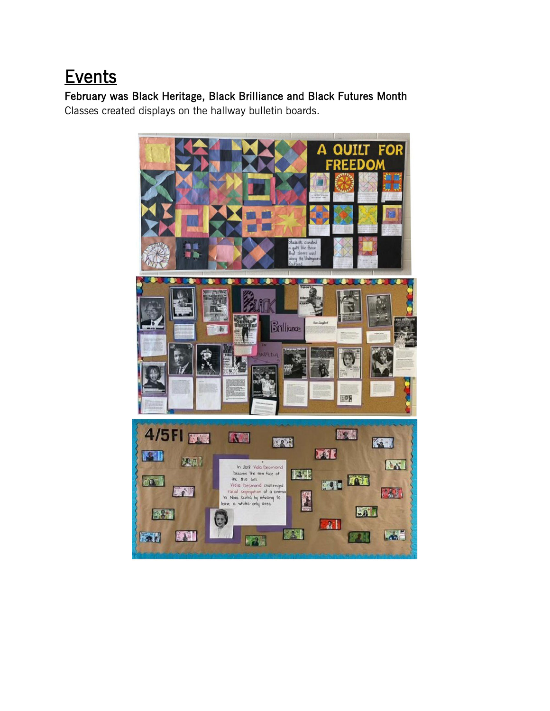# **Events**

February was Black Heritage, Black Brilliance and Black Futures Month Classes created displays on the hallway bulletin boards.

> **FOR OUTIT** Δ FD Ω Brilliance 108 4/5FI BOW 医器 K 医 67 EXE **ISRI** 及思 LXI In 2018 Viola Desmond 区相 became the new face of KOI KET the \$10 bill LA Viela Desmond challenged  $\sqrt{2}$ 路行 racial segregation at a anew **RE** whites-only area  $50^{\circ}$ ■ 381  $\mathbf{a}$  $L_{\infty}$ ENI **AND** 医别 **BEAR KYAN**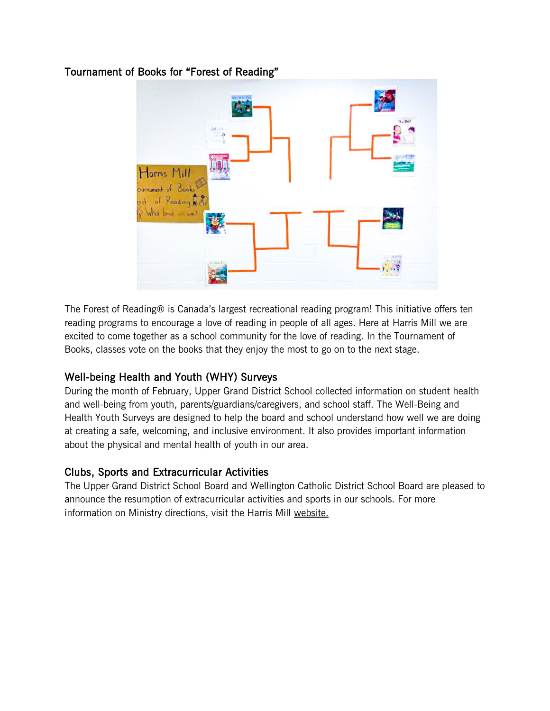## Tournament of Books for "Forest of Reading"



The Forest of Reading® is Canada's largest recreational reading program! This initiative offers ten reading programs to encourage a love of reading in people of all ages. Here at Harris Mill we are excited to come together as a school community for the love of reading. In the Tournament of Books, classes vote on the books that they enjoy the most to go on to the next stage.

## Well-being Health and Youth (WHY) Surveys

During the month of February, Upper Grand District School collected information on student health and well-being from youth, parents/guardians/caregivers, and school staff. The Well-Being and Health Youth Surveys are designed to help the board and school understand how well we are doing at creating a safe, welcoming, and inclusive environment. It also provides important information about the physical and mental health of youth in our area.

## Clubs, Sports and Extracurricular Activities

The Upper Grand District School Board and Wellington Catholic District School Board are pleased to announce the resumption of extracurricular activities and sports in our schools. For more information on Ministry directions, visit the Harris Mill [website.](https://www.ugdsb.ca/harrismill/2022/02/14/update-on-the-resumption-of-sports-and-extracurricular-activities/)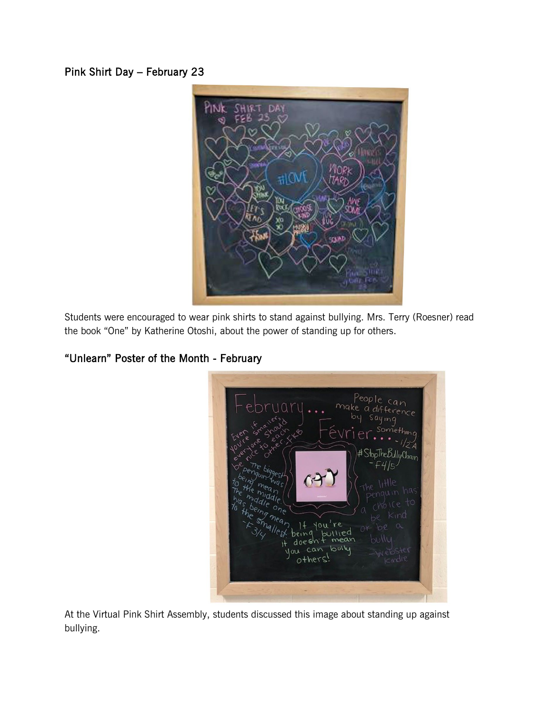Pink Shirt Day – February 23



Students were encouraged to wear pink shirts to stand against bullying. Mrs. Terry (Roesner) read the book "One" by Katherine Otoshi, about the power of standing up for others.

# "Unlearn" Poster of the Month - February

| People can<br>make a difference<br>by saying<br>you're smalled<br>Let a strategy<br>évrier<br>Something<br>Other XX8<br>$-1/2A$<br>#StopTheBullyChain<br>penguin was<br>being mean<br>the middle.<br>The middle one<br>n has<br>was heing mean, It you're<br>$+o$<br><b>POICE</b><br>to the smallest being but<br>Kınd<br>$\alpha$<br>$\sim$<br>OY<br>lied<br>It doesn't mean<br>bulll<br>you can bully<br><i><u>cindre</u></i> |  |
|---------------------------------------------------------------------------------------------------------------------------------------------------------------------------------------------------------------------------------------------------------------------------------------------------------------------------------------------------------------------------------------------------------------------------------|--|
|                                                                                                                                                                                                                                                                                                                                                                                                                                 |  |

At the Virtual Pink Shirt Assembly, students discussed this image about standing up against bullying.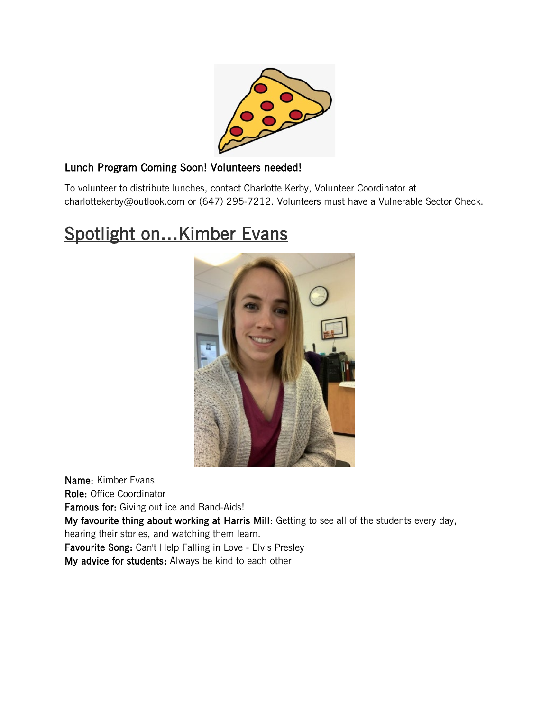

## Lunch Program Coming Soon! Volunteers needed!

To volunteer to distribute lunches, contact Charlotte Kerby, Volunteer Coordinator at charlottekerby@outlook.com or (647) 295-7212. Volunteers must have a Vulnerable Sector Check.

# Spotlight on...Kimber Evans



Name: Kimber Evans Role: Office Coordinator Famous for: Giving out ice and Band-Aids! My favourite thing about working at Harris Mill: Getting to see all of the students every day, hearing their stories, and watching them learn. Favourite Song: Can't Help Falling in Love - Elvis Presley My advice for students: Always be kind to each other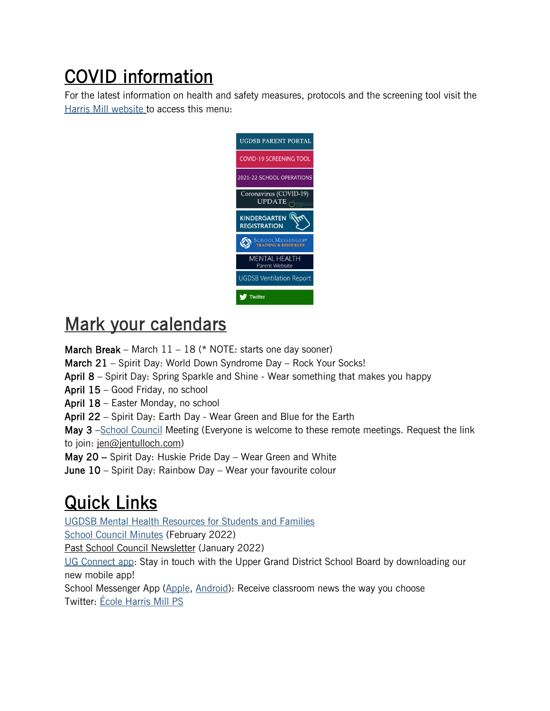COVID information<br>For the latest information on health and safety measures, protocols and the screening tool visit the Harris Mill [website](https://www.ugdsb.ca/harrismill/) to access this menu:



# Mark your calendars

**March Break** – March  $11 - 18$  (\* NOTE: starts one day sooner)

March 21 – Spirit Day: World Down Syndrome Day – Rock Your Socks!

April 8 – Spirit Day: Spring Sparkle and Shine - Wear something that makes you happy

April 15 – Good Friday, no school

April 18 – Easter Monday, no school

April 22 – Spirit Day: Earth Day - Wear Green and Blue for the Earth

May 3 –School [Council](https://www.ugdsb.ca/harrismill/school-council/) Meeting (Everyone is welcome to these remote meetings. Request the link to join: [jen@jentulloch.com\)](mailto:jen@jentulloch.com)

May 20 – Spirit Day: Huskie Pride Day – Wear Green and White

June 10 – Spirit Day: Rainbow Day – Wear your favourite colour

**Quick Links**<br>[UGDSB](https://sites.google.com/ugcloud.ca/mhugparents) Mental Health Resources for Students and Families

School Council [Minutes](https://www.ugdsb.ca/harrismill/2022/03/02/school-council-minutes-february-2022/) (February 2022)

Past School Council [Newsletter](https://www.ugdsb.ca/harrismill/2022/01/24/school-council-harris-mill-newsletter/) (January 2022)

UG [Connect](http://launch.customschoolapp.net/uppergrand/) app: Stay in touch with the Upper Grand District School Board by downloading our new mobile app!

School Messenger App [\(Apple,](https://apps.apple.com/ca/app/schoolmessenger/id978894818) [Android\)](https://play.google.com/store/apps/details?id=com.schoolmessenger.recipient&hl=en_CA): Receive classroom news the way you choose Twitter: École [Harris](https://twitter.com/harrismillps?ref_src=twsrc%255Etfw%257Ctwcamp%255Eembeddedtimeline%257Ctwterm%255Eprofile%253Aharrismillps%257Ctwgr%255EeyJ0ZndfZXhwZXJpbWVudHNfY29va2llX2V4cGlyYXRpb24iOnsiYnVja2V0IjoxMjA5NjAwLCJ2ZXJzaW9uIjpudWxsfSwidGZ3X2hvcml6b25fdHdlZXRfZW1iZWRfOTU1NSI6eyJidWNrZXQiOiJodGUiLCJ2ZXJzaW9uIjpudWxsfSwidGZ3X3NwYWNlX2NhcmQiOnsiYnVja2V0Ijoib2ZmIiwidmVyc2lvbiI6bnVsbH19&ref_url=https%253A%252F%252Fwww.ugdsb.ca%252Fharrismill%252F) Mill PS